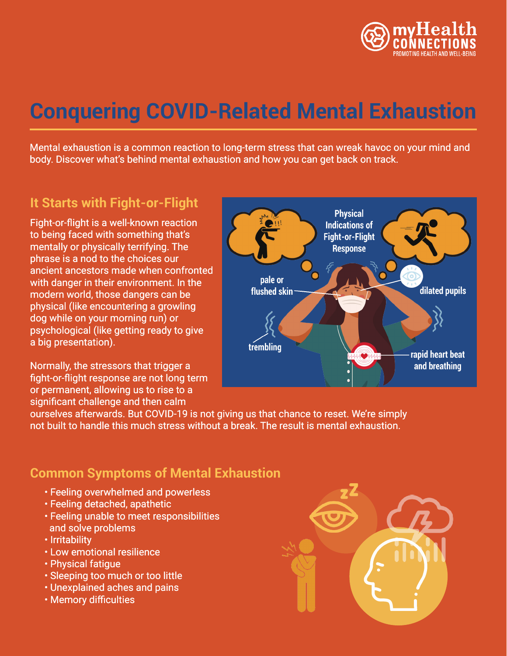

# **Conquering COVID-Related Mental Exhaustion**

Mental exhaustion is a common reaction to long-term stress that can wreak havoc on your mind and body. Discover what's behind mental exhaustion and how you can get back on track.

## **It Starts with Fight-or-Flight**

Fight-or-flight is a well-known reaction to being faced with something that's mentally or physically terrifying. The phrase is a nod to the choices our ancient ancestors made when confronted with danger in their environment. In the modern world, those dangers can be physical (like encountering a growling dog while on your morning run) or psychological (like getting ready to give a big presentation).

Normally, the stressors that trigger a fight-or-flight response are not long term or permanent, allowing us to rise to a significant challenge and then calm



ourselves afterwards. But COVID-19 is not giving us that chance to reset. We're simply not built to handle this much stress without a break. The result is mental exhaustion.

## **Common Symptoms of Mental Exhaustion**

- Feeling overwhelmed and powerless
- Feeling detached, apathetic
- Feeling unable to meet responsibilities and solve problems
- Irritability
- Low emotional resilience
- Physical fatigue
- Sleeping too much or too little
- Unexplained aches and pains
- Memory difficulties